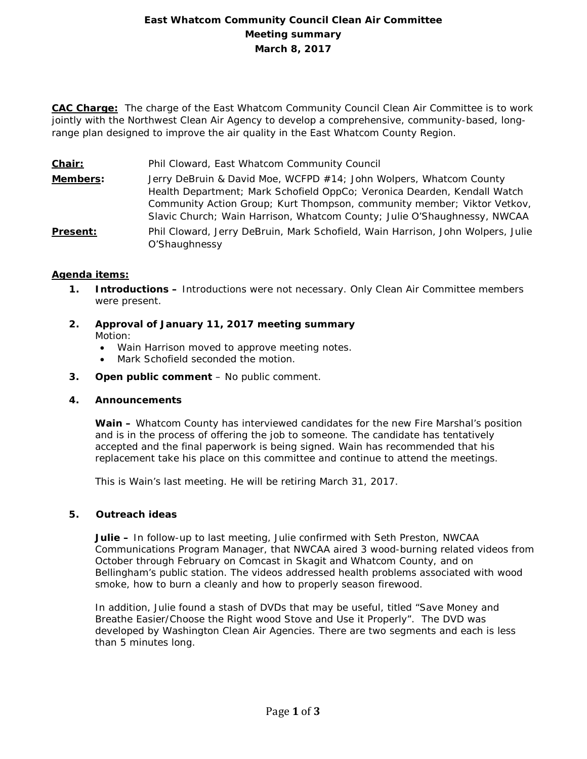# **East Whatcom Community Council Clean Air Committee Meeting summary March 8, 2017**

**CAC Charge:** The charge of the East Whatcom Community Council Clean Air Committee is to work jointly with the Northwest Clean Air Agency to develop a comprehensive, community-based, longrange plan designed to improve the air quality in the East Whatcom County Region.

**Chair:** Phil Cloward, East Whatcom Community Council

**Members:** Jerry DeBruin & David Moe, WCFPD #14; John Wolpers, Whatcom County Health Department; Mark Schofield OppCo; Veronica Dearden, Kendall Watch Community Action Group; Kurt Thompson, community member; Viktor Vetkov, Slavic Church; Wain Harrison, Whatcom County; Julie O'Shaughnessy, NWCAA **Present:** Phil Cloward, Jerry DeBruin, Mark Schofield, Wain Harrison, John Wolpers, Julie O'Shaughnessy

### **Agenda items:**

- **1. Introductions –** Introductions were not necessary. Only Clean Air Committee members were present.
- **2. Approval of January 11, 2017 meeting summary** Motion:
	- Wain Harrison moved to approve meeting notes.
	- Mark Schofield seconded the motion.
- **3. Open public comment**  No public comment.

### **4. Announcements**

**Wain –** Whatcom County has interviewed candidates for the new Fire Marshal's position and is in the process of offering the job to someone. The candidate has tentatively accepted and the final paperwork is being signed. Wain has recommended that his replacement take his place on this committee and continue to attend the meetings.

This is Wain's last meeting. He will be retiring March 31, 2017.

### **5. Outreach ideas**

**Julie –** In follow-up to last meeting, Julie confirmed with Seth Preston, NWCAA Communications Program Manager, that NWCAA aired 3 wood-burning related videos from October through February on Comcast in Skagit and Whatcom County, and on Bellingham's public station. The videos addressed health problems associated with wood smoke, how to burn a cleanly and how to properly season firewood.

In addition, Julie found a stash of DVDs that may be useful, titled "Save Money and Breathe Easier/Choose the Right wood Stove and Use it Properly". The DVD was developed by Washington Clean Air Agencies. There are two segments and each is less than 5 minutes long.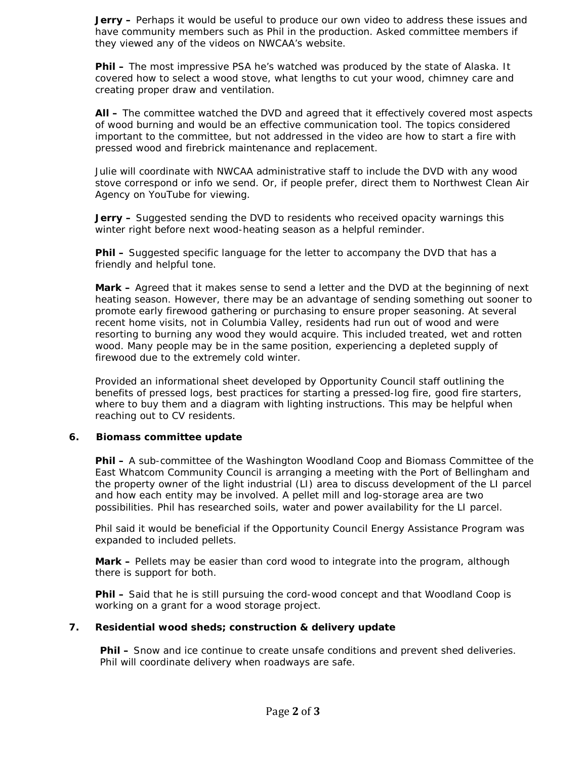**Jerry –** Perhaps it would be useful to produce our own video to address these issues and have community members such as Phil in the production. Asked committee members if they viewed any of the videos on NWCAA's website.

**Phil –** The most impressive PSA he's watched was produced by the state of Alaska. It covered how to select a wood stove, what lengths to cut your wood, chimney care and creating proper draw and ventilation.

**All –** The committee watched the DVD and agreed that it effectively covered most aspects of wood burning and would be an effective communication tool. The topics considered important to the committee, but not addressed in the video are how to start a fire with pressed wood and firebrick maintenance and replacement.

Julie will coordinate with NWCAA administrative staff to include the DVD with any wood stove correspond or info we send. Or, if people prefer, direct them to Northwest Clean Air Agency on YouTube for viewing.

**Jerry –** Suggested sending the DVD to residents who received opacity warnings this winter right before next wood-heating season as a helpful reminder.

**Phil –** Suggested specific language for the letter to accompany the DVD that has a friendly and helpful tone.

**Mark –** Agreed that it makes sense to send a letter and the DVD at the beginning of next heating season. However, there may be an advantage of sending something out sooner to promote early firewood gathering or purchasing to ensure proper seasoning. At several recent home visits, not in Columbia Valley, residents had run out of wood and were resorting to burning any wood they would acquire. This included treated, wet and rotten wood. Many people may be in the same position, experiencing a depleted supply of firewood due to the extremely cold winter.

Provided an informational sheet developed by Opportunity Council staff outlining the benefits of pressed logs, best practices for starting a pressed-log fire, good fire starters, where to buy them and a diagram with lighting instructions. This may be helpful when reaching out to CV residents.

### **6. Biomass committee update**

**Phil –** A sub-committee of the Washington Woodland Coop and Biomass Committee of the East Whatcom Community Council is arranging a meeting with the Port of Bellingham and the property owner of the light industrial (LI) area to discuss development of the LI parcel and how each entity may be involved. A pellet mill and log-storage area are two possibilities. Phil has researched soils, water and power availability for the LI parcel.

Phil said it would be beneficial if the Opportunity Council Energy Assistance Program was expanded to included pellets.

**Mark –** Pellets may be easier than cord wood to integrate into the program, although there is support for both.

**Phil –** Said that he is still pursuing the cord-wood concept and that Woodland Coop is working on a grant for a wood storage project.

### **7. Residential wood sheds; construction & delivery update**

**Phil –** Snow and ice continue to create unsafe conditions and prevent shed deliveries. Phil will coordinate delivery when roadways are safe.